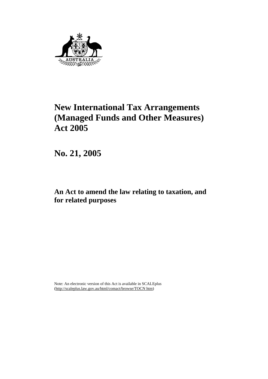

# **New International Tax Arrangements (Managed Funds and Other Measures) Act 2005**

**No. 21, 2005** 

**An Act to amend the law relating to taxation, and for related purposes** 

Note: An electronic version of this Act is available in SCALEplus (http://scaleplus.law.gov.au/html/comact/browse/TOCN htm)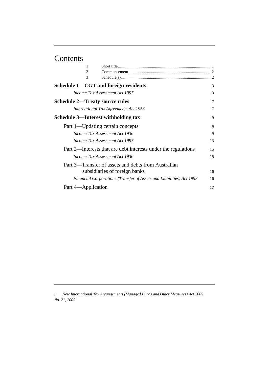# Contents

| 1                                                                    |    |
|----------------------------------------------------------------------|----|
| $\overline{c}$                                                       |    |
| 3                                                                    |    |
| Schedule 1—CGT and foreign residents                                 | 3  |
| Income Tax Assessment Act 1997                                       | 3  |
| <b>Schedule 2—Treaty source rules</b>                                | 7  |
| <b>International Tax Agreements Act 1953</b>                         | 7  |
| Schedule 3—Interest withholding tax                                  | 9  |
| Part 1—Updating certain concepts                                     | 9  |
| Income Tax Assessment Act 1936                                       | 9  |
| <i>Income Tax Assessment Act 1997</i>                                | 13 |
| Part 2—Interests that are debt interests under the regulations       | 15 |
| Income Tax Assessment Act 1936                                       | 15 |
| Part 3—Transfer of assets and debts from Australian                  |    |
| subsidiaries of foreign banks                                        | 16 |
| Financial Corporations (Transfer of Assets and Liabilities) Act 1993 | 16 |
| Part 4—Application                                                   | 17 |

*i New International Tax Arrangements (Managed Funds and Other Measures) Act 2005 No. 21, 2005*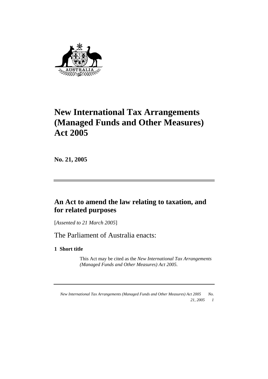

# **New International Tax Arrangements (Managed Funds and Other Measures) Act 2005**

**No. 21, 2005** 

# **An Act to amend the law relating to taxation, and for related purposes**

[*Assented to 21 March 2005*]

The Parliament of Australia enacts:

**1 Short title** 

 This Act may be cited as the *New International Tax Arrangements (Managed Funds and Other Measures) Act 2005.*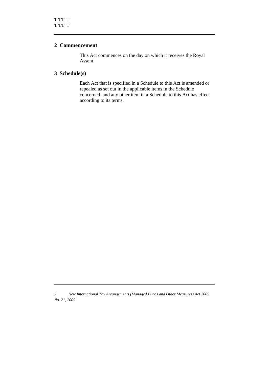#### **2 Commencement**

 This Act commences on the day on which it receives the Royal Assent.

# **3 Schedule(s)**

 Each Act that is specified in a Schedule to this Act is amended or repealed as set out in the applicable items in the Schedule concerned, and any other item in a Schedule to this Act has effect according to its terms.

*<sup>2</sup> New International Tax Arrangements (Managed Funds and Other Measures) Act 2005 No. 21, 2005*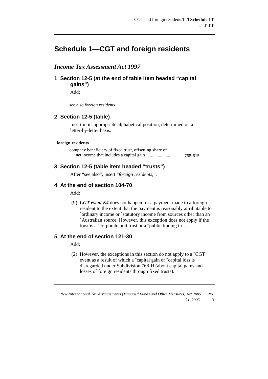# **Schedule 1—CGT and foreign residents**

# *Income Tax Assessment Act 1997*

**1 Section 12-5 (at the end of table item headed "capital gains")** 

Add:

see also *foreign residents*

#### **2 Section 12-5 (table)**

Insert in its appropriate alphabetical position, determined on a letter-by-letter basis:

#### **foreign residents**

| company beneficiary of fixed trust, offsetting share of |         |
|---------------------------------------------------------|---------|
|                                                         | 768-615 |

#### **3 Section 12-5 (table item headed "trusts")**

After "see also", insert "*foreign residents*,".

# **4 At the end of section 104-70**

Add:

 (9) *CGT event E4* does not happen for a payment made to a foreign resident to the extent that the payment is reasonably attributable to \*ordinary income or \*statutory income from sources other than an \*Australian source. However, this exception does not apply if the trust is a \*corporate unit trust or a \*public trading trust.

# **5 At the end of section 121-30**

Add:

 (2) However, the exceptions in this section do not apply to a \*CGT event as a result of which a \*capital gain or \*capital loss is disregarded under Subdivision 768-H (about capital gains and losses of foreign residents through fixed trusts).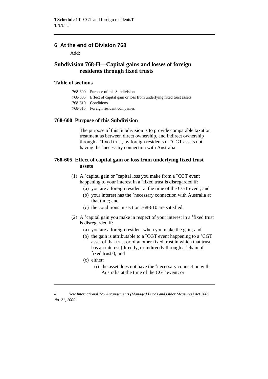# **6 At the end of Division 768**

Add:

# **Subdivision 768-H—Capital gains and losses of foreign residents through fixed trusts**

#### **Table of sections**

| 768-600 Purpose of this Subdivision                                       |
|---------------------------------------------------------------------------|
| 768-605 Effect of capital gain or loss from underlying fixed trust assets |
| 768-610 Conditions                                                        |
| 768-615 Foreign resident companies                                        |

#### **768-600 Purpose of this Subdivision**

 The purpose of this Subdivision is to provide comparable taxation treatment as between direct ownership, and indirect ownership through a \*fixed trust, by foreign residents of \*CGT assets not having the \*necessary connection with Australia.

#### **768-605 Effect of capital gain or loss from underlying fixed trust assets**

- (1) A \*capital gain or \*capital loss you make from a \*CGT event happening to your interest in a \*fixed trust is disregarded if:
	- (a) you are a foreign resident at the time of the CGT event; and
	- (b) your interest has the \*necessary connection with Australia at that time; and
	- (c) the conditions in section 768-610 are satisfied.
- (2) A \*capital gain you make in respect of your interest in a \*fixed trust is disregarded if:
	- (a) you are a foreign resident when you make the gain; and
	- (b) the gain is attributable to a \*CGT event happening to a \*CGT asset of that trust or of another fixed trust in which that trust has an interest (directly, or indirectly through a \*chain of fixed trusts); and
	- (c) either:
		- (i) the asset does not have the \*necessary connection with Australia at the time of the CGT event; or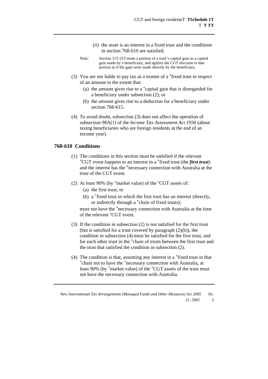- (ii) the asset is an interest in a fixed trust and the conditions in section 768-610 are satisfied.
- Note: Section 115-215 treats a portion of a trust's capital gain as a capital gain made by a beneficiary, and applies the CGT discount to that portion as if the gain were made directly by the beneficiary.
- (3) You are not liable to pay tax as a trustee of a \*fixed trust in respect of an amount to the extent that:
	- (a) the amount gives rise to a \*capital gain that is disregarded for a beneficiary under subsection (2); or
	- (b) the amount gives rise to a deduction for a beneficiary under section 768-615.
- (4) To avoid doubt, subsection (3) does not affect the operation of subsection 98A(1) of the *Income Tax Assessment Act 1936* (about taxing beneficiaries who are foreign residents at the end of an income year).

#### **768-610 Conditions**

- (1) The conditions in this section must be satisfied if the relevant \*CGT event happens to an interest in a \*fixed trust (the *first trust*) and the interest has the \*necessary connection with Australia at the time of the CGT event.
- (2) At least 90% (by \*market value) of the \*CGT assets of:
	- (a) the first trust; or
	- (b) a \*fixed trust in which the first trust has an interest (directly, or indirectly through a \*chain of fixed trusts);

must not have the \*necessary connection with Australia at the time of the relevant \*CGT event.

- (3) If the condition in subsection (2) is not satisfied for the first trust (but is satisfied for a trust covered by paragraph  $(2)(b)$ ), the condition in subsection (4) must be satisfied for the first trust, and for each other trust in the \*chain of trusts between the first trust and the trust that satisfied the condition in subsection (2).
- (4) The condition is that, assuming any interest in a  $*$ fixed trust in that  $*$ chain not to have the  $*$ necessary connection with Australia, at least 90% (by \*market value) of the \*CGT assets of the trust must not have the necessary connection with Australia.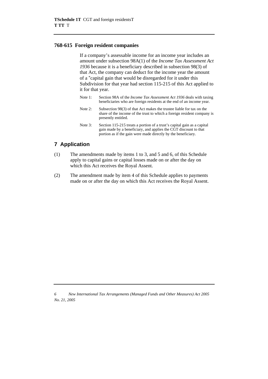#### **768-615 Foreign resident companies**

 If a company's assessable income for an income year includes an amount under subsection 98A(1) of the *Income Tax Assessment Act 1936* because it is a beneficiary described in subsection 98(3) of that Act, the company can deduct for the income year the amount of a \*capital gain that would be disregarded for it under this Subdivision for that year had section 115-215 of this Act applied to it for that year.

- Note 1: Section 98A of the *Income Tax Assessment Act 1936* deals with taxing beneficiaries who are foreign residents at the end of an income year.
- Note 2: Subsection 98(3) of that Act makes the trustee liable for tax on the share of the income of the trust to which a foreign resident company is presently entitled.
- Note 3: Section 115-215 treats a portion of a trust's capital gain as a capital gain made by a beneficiary, and applies the CGT discount to that portion as if the gain were made directly by the beneficiary.

# **7 Application**

- (1) The amendments made by items 1 to 3, and 5 and 6, of this Schedule apply to capital gains or capital losses made on or after the day on which this Act receives the Royal Assent.
- (2) The amendment made by item 4 of this Schedule applies to payments made on or after the day on which this Act receives the Royal Assent.

*<sup>6</sup> New International Tax Arrangements (Managed Funds and Other Measures) Act 2005 No. 21, 2005*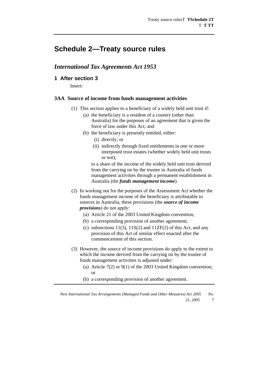# **Schedule 2—Treaty source rules**

# *International Tax Agreements Act 1953*

#### **1 After section 3**

Insert:

#### **3AA Source of income from funds management activities**

- (1) This section applies to a beneficiary of a widely held unit trust if:
	- (a) the beneficiary is a resident of a country (other than Australia) for the purposes of an agreement that is given the force of law under this Act; and
	- (b) the beneficiary is presently entitled, either:
		- (i) directly; or
		- (ii) indirectly through fixed entitlements in one or more interposed trust estates (whether widely held unit trusts or not);

 to a share of the income of the widely held unit trust derived from the carrying on by the trustee in Australia of funds management activities through a permanent establishment in Australia (the *funds management income*).

- (2) In working out for the purposes of the Assessment Act whether the funds management income of the beneficiary is attributable to sources in Australia, these provisions (the *source of income provisions*) do not apply:
	- (a) Article 21 of the 2003 United Kingdom convention;
	- (b) a corresponding provision of another agreement;
	- (c) subsections  $11(3)$ ,  $11S(2)$  and  $11ZF(2)$  of this Act, and any provision of this Act of similar effect enacted after the commencement of this section.
- (3) However, the source of income provisions do apply to the extent to which the income derived from the carrying on by the trustee of funds management activities is adjusted under:
	- (a) Article 7(2) or 9(1) of the 2003 United Kingdom convention; or
	- (b) a corresponding provision of another agreement.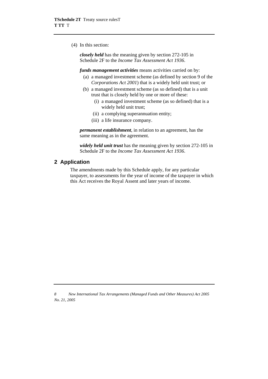(4) In this section:

*closely held* has the meaning given by section 272-105 in Schedule 2F to the *Income Tax Assessment Act 1936*.

*funds management activities* means activities carried on by:

- (a) a managed investment scheme (as defined by section 9 of the *Corporations Act 2001*) that is a widely held unit trust; or
- (b) a managed investment scheme (as so defined) that is a unit trust that is closely held by one or more of these:
	- (i) a managed investment scheme (as so defined) that is a widely held unit trust;
	- (ii) a complying superannuation entity;
	- (iii) a life insurance company.

*permanent establishment*, in relation to an agreement, has the same meaning as in the agreement.

*widely held unit trust* has the meaning given by section 272-105 in Schedule 2F to the *Income Tax Assessment Act 1936*.

### **2 Application**

The amendments made by this Schedule apply, for any particular taxpayer, to assessments for the year of income of the taxpayer in which this Act receives the Royal Assent and later years of income.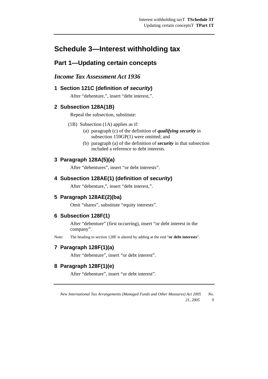# **Schedule 3—Interest withholding tax**

# **Part 1—Updating certain concepts**

# *Income Tax Assessment Act 1936*

# **1 Section 121C (definition of** *security***)**

After "debenture,", insert "debt interest,".

# **2 Subsection 128A(1B)**

Repeal the subsection, substitute:

- (1B) Subsection (1A) applies as if:
	- (a) paragraph (c) of the definition of *qualifying security* in subsection 159GP(1) were omitted; and
	- (b) paragraph (a) of the definition of *security* in that subsection included a reference to debt interests.

# **3 Paragraph 128A(5)(a)**

After "debentures", insert "or debt interests".

# **4 Subsection 128AE(1) (definition of** *security***)**

After "debenture,", insert "debt interest,".

# **5 Paragraph 128AE(2)(ba)**

Omit "shares", substitute "equity interests".

# **6 Subsection 128F(1)**

After "debenture" (first occurring), insert "or debt interest in the company".

Note: The heading to section 128F is altered by adding at the end "**or debt interests**".

# **7 Paragraph 128F(1)(a)**

After "debenture", insert "or debt interest".

# **8 Paragraph 128F(1)(e)**

After "debenture", insert "or debt interest".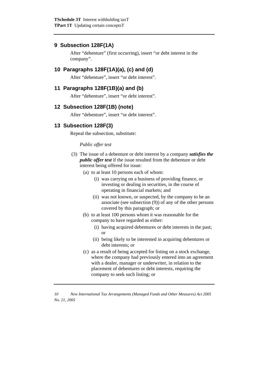### **9 Subsection 128F(1A)**

After "debenture" (first occurring), insert "or debt interest in the company".

#### **10 Paragraphs 128F(1A)(a), (c) and (d)**

After "debenture", insert "or debt interest".

### **11 Paragraphs 128F(1B)(a) and (b)**

After "debenture", insert "or debt interest".

#### **12 Subsection 128F(1B) (note)**

After "debenture", insert "or debt interest".

### **13 Subsection 128F(3)**

Repeal the subsection, substitute:

#### *Public offer test*

- (3) The issue of a debenture or debt interest by a company *satisfies the public offer test* if the issue resulted from the debenture or debt interest being offered for issue:
	- (a) to at least 10 persons each of whom:
		- (i) was carrying on a business of providing finance, or investing or dealing in securities, in the course of operating in financial markets; and
		- (ii) was not known, or suspected, by the company to be an associate (see subsection (9)) of any of the other persons covered by this paragraph; or
	- (b) to at least 100 persons whom it was reasonable for the company to have regarded as either:
		- (i) having acquired debentures or debt interests in the past; or
		- (ii) being likely to be interested in acquiring debentures or debt interests; or
	- (c) as a result of being accepted for listing on a stock exchange, where the company had previously entered into an agreement with a dealer, manager or underwriter, in relation to the placement of debentures or debt interests, requiring the company to seek such listing; or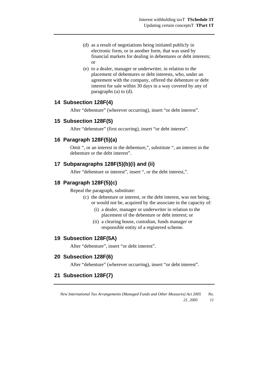- (d) as a result of negotiations being initiated publicly in electronic form, or in another form, that was used by financial markets for dealing in debentures or debt interests; or
- (e) to a dealer, manager or underwriter, in relation to the placement of debentures or debt interests, who, under an agreement with the company, offered the debenture or debt interest for sale within 30 days in a way covered by any of paragraphs (a) to (d).

#### **14 Subsection 128F(4)**

After "debenture" (wherever occurring), insert "or debt interest".

#### **15 Subsection 128F(5)**

After "debenture" (first occurring), insert "or debt interest".

#### **16 Paragraph 128F(5)(a)**

Omit ", or an interest in the debenture,", substitute ", an interest in the debenture or the debt interest".

#### **17 Subparagraphs 128F(5)(b)(i) and (ii)**

After "debenture or interest", insert ", or the debt interest,".

#### **18 Paragraph 128F(5)(c)**

Repeal the paragraph, substitute:

- (c) the debenture or interest, or the debt interest, was not being, or would not be, acquired by the associate in the capacity of:
	- (i) a dealer, manager or underwriter in relation to the placement of the debenture or debt interest; or
	- (ii) a clearing house, custodian, funds manager or responsible entity of a registered scheme.

#### **19 Subsection 128F(5A)**

After "debenture", insert "or debt interest".

#### **20 Subsection 128F(6)**

After "debenture" (wherever occurring), insert "or debt interest".

# **21 Subsection 128F(7)**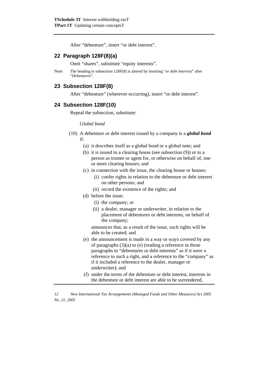After "debenture", insert "or debt interest".

#### **22 Paragraph 128F(8)(a)**

Omit "shares", substitute "equity interests".

Note: The heading to subsection 128F(8) is altered by inserting "*or debt interests*" after "*Debentures*".

#### **23 Subsection 128F(8)**

After "debenture" (wherever occurring), insert "or debt interest".

#### **24 Subsection 128F(10)**

Repeal the subsection, substitute:

#### *Global bond*

- (10) A debenture or debt interest issued by a company is a *global bond* if:
	- (a) it describes itself as a global bond or a global note; and
	- (b) it is issued to a clearing house (see subsection (9)) or to a person as trustee or agent for, or otherwise on behalf of, one or more clearing houses; and
	- (c) in connection with the issue, the clearing house or houses:
		- (i) confer rights in relation to the debenture or debt interest on other persons; and
		- (ii) record the existence of the rights; and
	- (d) before the issue:
		- (i) the company; or
		- (ii) a dealer, manager or underwriter, in relation to the placement of debentures or debt interests, on behalf of the company;

 announces that, as a result of the issue, such rights will be able to be created; and

- (e) the announcement is made in a way or ways covered by any of paragraphs  $(3)(a)$  to (e) (reading a reference in those paragraphs to "debentures or debt interests" as if it were a reference to such a right, and a reference to the "company" as if it included a reference to the dealer, manager or underwriter); and
- (f) under the terms of the debenture or debt interest, interests in the debenture or debt interest are able to be surrendered,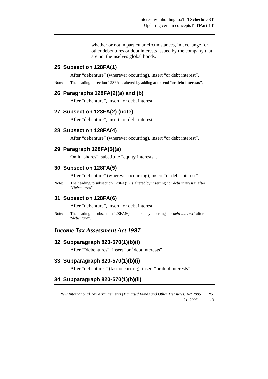whether or not in particular circumstances, in exchange for other debentures or debt interests issued by the company that are not themselves global bonds.

#### **25 Subsection 128FA(1)**

After "debenture" (wherever occurring), insert "or debt interest".

Note: The heading to section 128FA is altered by adding at the end "**or debt interests**".

#### **26 Paragraphs 128FA(2)(a) and (b)**

After "debenture", insert "or debt interest".

#### **27 Subsection 128FA(2) (note)**

After "debenture", insert "or debt interest".

#### **28 Subsection 128FA(4)**

After "debenture" (wherever occurring), insert "or debt interest".

#### **29 Paragraph 128FA(5)(a)**

Omit "shares", substitute "equity interests".

#### **30 Subsection 128FA(5)**

After "debenture" (wherever occurring), insert "or debt interest".

Note: The heading to subsection 128FA(5) is altered by inserting "*or debt interests*" after "*Debentures*".

#### **31 Subsection 128FA(6)**

After "debenture", insert "or debt interest".

Note: The heading to subsection 128FA(6) is altered by inserting "*or debt interest*" after "*debenture*".

#### *Income Tax Assessment Act 1997*

#### **32 Subparagraph 820-570(1)(b)(i)**

After "\*debentures", insert "or \*debt interests".

#### **33 Subparagraph 820-570(1)(b)(i)**

After "debentures" (last occurring), insert "or debt interests".

#### **34 Subparagraph 820-570(1)(b)(ii)**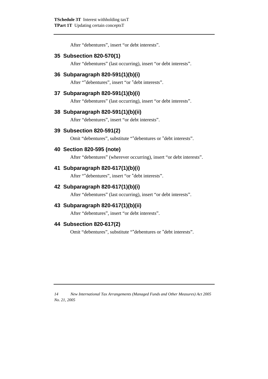After "debentures", insert "or debt interests".

#### **35 Subsection 820-570(1)**

After "debentures" (last occurring), insert "or debt interests".

#### **36 Subparagraph 820-591(1)(b)(i)**

After "\*debentures", insert "or \*debt interests".

#### **37 Subparagraph 820-591(1)(b)(i)**

After "debentures" (last occurring), insert "or debt interests".

#### **38 Subparagraph 820-591(1)(b)(ii)**

After "debentures", insert "or debt interests".

#### **39 Subsection 820-591(2)**

Omit "debentures", substitute "\*debentures or \*debt interests".

#### **40 Section 820-595 (note)**

After "debentures" (wherever occurring), insert "or debt interests".

#### **41 Subparagraph 820-617(1)(b)(i)**

After "\*debentures", insert "or \*debt interests".

#### **42 Subparagraph 820-617(1)(b)(i)**

After "debentures" (last occurring), insert "or debt interests".

#### **43 Subparagraph 820-617(1)(b)(ii)**

After "debentures", insert "or debt interests".

#### **44 Subsection 820-617(2)**

Omit "debentures", substitute "\*debentures or \*debt interests".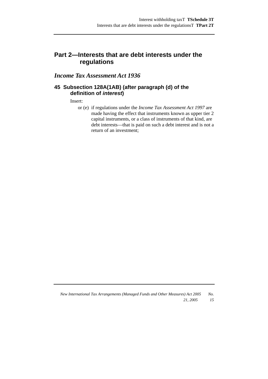# **Part 2—Interests that are debt interests under the regulations**

# *Income Tax Assessment Act 1936*

#### **45 Subsection 128A(1AB) (after paragraph (d) of the definition of** *interest***)**

#### Insert:

 or (e) if regulations under the *Income Tax Assessment Act 1997* are made having the effect that instruments known as upper tier 2 capital instruments, or a class of instruments of that kind, are debt interests—that is paid on such a debt interest and is not a return of an investment;

*New International Tax Arrangements (Managed Funds and Other Measures) Act 2005 No. 21, 2005 15*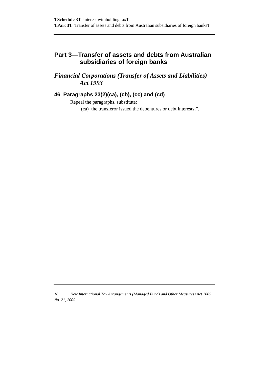# **Part 3—Transfer of assets and debts from Australian subsidiaries of foreign banks**

# *Financial Corporations (Transfer of Assets and Liabilities) Act 1993*

# **46 Paragraphs 23(2)(ca), (cb), (cc) and (cd)**

Repeal the paragraphs, substitute: (ca) the transferor issued the debentures or debt interests;".

*<sup>16</sup> New International Tax Arrangements (Managed Funds and Other Measures) Act 2005 No. 21, 2005*